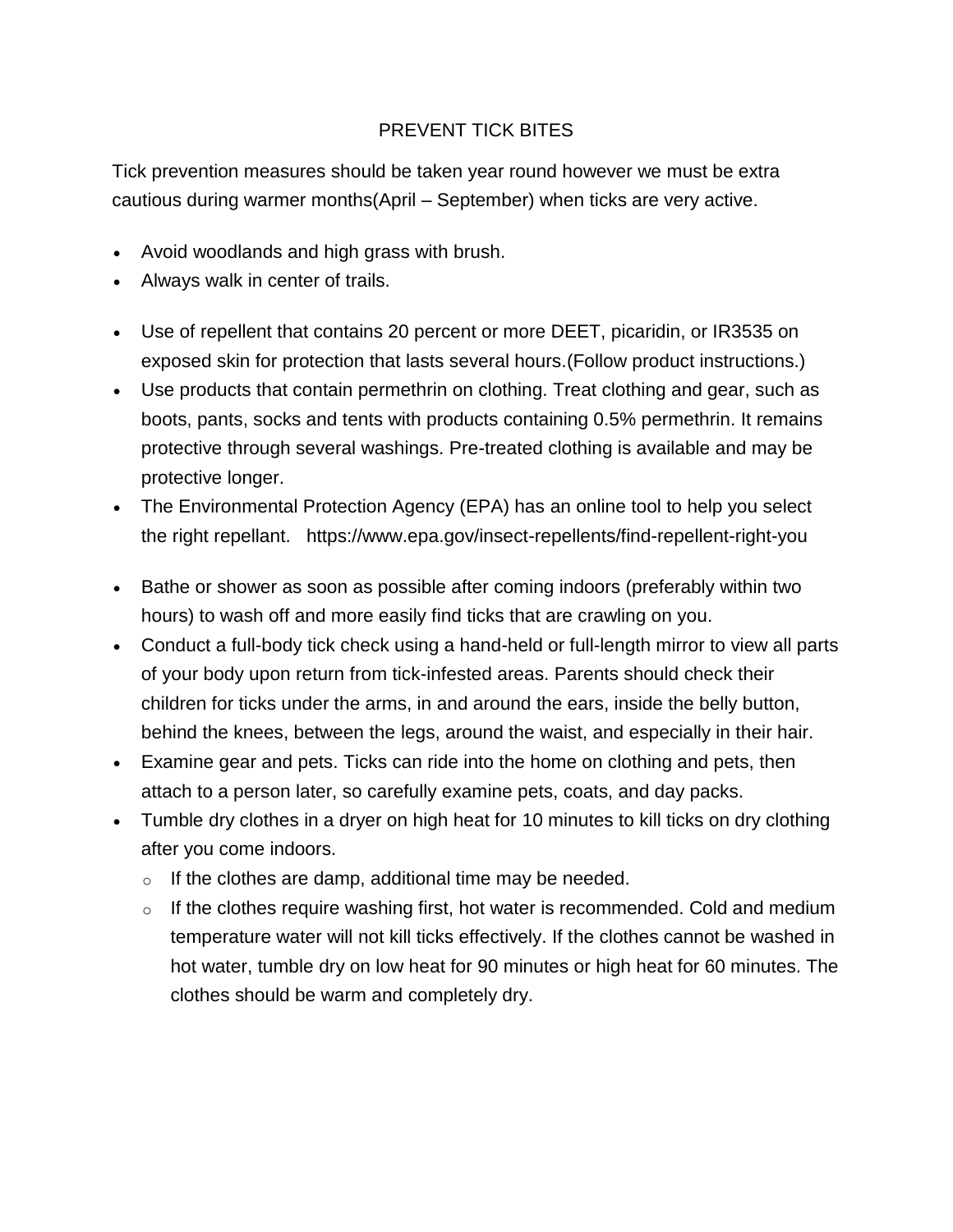## PREVENT TICK BITES

Tick prevention measures should be taken year round however we must be extra cautious during warmer months(April – September) when ticks are very active.

- Avoid woodlands and high grass with brush.
- Always walk in center of trails.
- Use of repellent that contains 20 percent or more DEET, picaridin, or IR3535 on exposed skin for protection that lasts several hours.(Follow product instructions.)
- Use products that contain permethrin on clothing. Treat clothing and gear, such as boots, pants, socks and tents with products containing 0.5% permethrin. It remains protective through several washings. Pre-treated clothing is available and may be protective longer.
- The Environmental Protection Agency (EPA) has an online tool to help you select the right repellant. https://www.epa.gov/insect-repellents/find-repellent-right-you
- Bathe or shower as soon as possible after coming indoors (preferably within two hours) to wash off and more easily find ticks that are crawling on you.
- Conduct a full-body tick check using a hand-held or full-length mirror to view all parts of your body upon return from tick-infested areas. Parents should check their children for ticks under the arms, in and around the ears, inside the belly button, behind the knees, between the legs, around the waist, and especially in their hair.
- Examine gear and pets. Ticks can ride into the home on clothing and pets, then attach to a person later, so carefully examine pets, coats, and day packs.
- Tumble dry clothes in a dryer on high heat for 10 minutes to kill ticks on dry clothing after you come indoors.
	- $\circ$  If the clothes are damp, additional time may be needed.
	- $\circ$  If the clothes require washing first, hot water is recommended. Cold and medium temperature water will not kill ticks effectively. If the clothes cannot be washed in hot water, tumble dry on low heat for 90 minutes or high heat for 60 minutes. The clothes should be warm and completely dry.